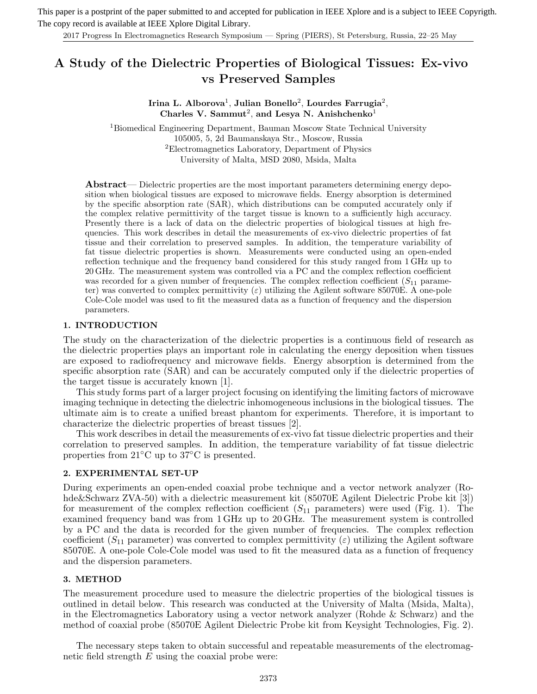This paper is a postprint of the paper submitted to and accepted for publication in IEEE Xplore and is a subject to IEEE Copyrigth. The copy record is available at IEEE Xplore Digital Library.

2017 Progress In Electromagnetics Research Symposium — Spring (PIERS), St Petersburg, Russia, 22–25 May

# **A Study of the Dielectric Properties of Biological Tissues: Ex-vivo vs Preserved Samples**

## **Irina L. Alborova**<sup>1</sup>, **Julian Bonello**<sup>2</sup>, **Lourdes Farrugia**<sup>2</sup>, Charles V. Sammut<sup>2</sup>, and Lesya N. Anishchenko<sup>1</sup>

<sup>1</sup>Biomedical Engineering Department, Bauman Moscow State Technical University 105005, 5, 2d Baumanskaya Str., Moscow, Russia <sup>2</sup>Electromagnetics Laboratory, Department of Physics University of Malta, MSD 2080, Msida, Malta

**Abstract**— Dielectric properties are the most important parameters determining energy deposition when biological tissues are exposed to microwave fields. Energy absorption is determined by the specific absorption rate (SAR), which distributions can be computed accurately only if the complex relative permittivity of the target tissue is known to a sufficiently high accuracy. Presently there is a lack of data on the dielectric properties of biological tissues at high frequencies. This work describes in detail the measurements of ex-vivo dielectric properties of fat tissue and their correlation to preserved samples. In addition, the temperature variability of fat tissue dielectric properties is shown. Measurements were conducted using an open-ended reflection technique and the frequency band considered for this study ranged from 1 GHz up to 20 GHz. The measurement system was controlled via a PC and the complex reflection coefficient was recorded for a given number of frequencies. The complex reflection coefficient  $(S_{11}$  parameter) was converted to complex permittivity  $(\varepsilon)$  utilizing the Agilent software 85070E. A one-pole Cole-Cole model was used to fit the measured data as a function of frequency and the dispersion parameters.

#### **1. INTRODUCTION**

The study on the characterization of the dielectric properties is a continuous field of research as the dielectric properties plays an important role in calculating the energy deposition when tissues are exposed to radiofrequency and microwave fields. Energy absorption is determined from the specific absorption rate (SAR) and can be accurately computed only if the dielectric properties of the target tissue is accurately known [1].

This study forms part of a larger project focusing on identifying the limiting factors of microwave imaging technique in detecting the dielectric inhomogeneous inclusions in the biological tissues. The ultimate aim is to create a unified breast phantom for experiments. Therefore, it is important to characterize the dielectric properties of breast tissues [2].

This work describes in detail the measurements of ex-vivo fat tissue dielectric properties and their correlation to preserved samples. In addition, the temperature variability of fat tissue dielectric properties from 21◦C up to 37◦C is presented.

## **2. EXPERIMENTAL SET-UP**

During experiments an open-ended coaxial probe technique and a vector network analyzer (Rohde&Schwarz ZVA-50) with a dielectric measurement kit (85070E Agilent Dielectric Probe kit [3]) for measurement of the complex reflection coefficient  $(S_{11}$  parameters) were used (Fig. 1). The examined frequency band was from 1 GHz up to 20 GHz. The measurement system is controlled by a PC and the data is recorded for the given number of frequencies. The complex reflection coefficient ( $S_{11}$  parameter) was converted to complex permittivity ( $\varepsilon$ ) utilizing the Agilent software 85070E. A one-pole Cole-Cole model was used to fit the measured data as a function of frequency and the dispersion parameters.

## **3. METHOD**

The measurement procedure used to measure the dielectric properties of the biological tissues is outlined in detail below. This research was conducted at the University of Malta (Msida, Malta), in the Electromagnetics Laboratory using a vector network analyzer (Rohde & Schwarz) and the method of coaxial probe (85070E Agilent Dielectric Probe kit from Keysight Technologies, Fig. 2).

The necessary steps taken to obtain successful and repeatable measurements of the electromagnetic field strength  $E$  using the coaxial probe were: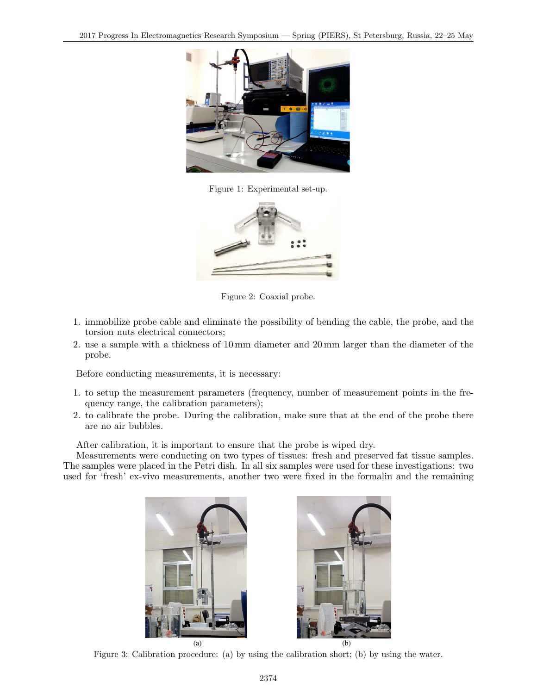

Figure 1: Experimental set-up.



Figure 2: Coaxial probe.

- 1. immobilize probe cable and eliminate the possibility of bending the cable, the probe, and the torsion nuts electrical connectors;
- 2. use a sample with a thickness of 10 mm diameter and 20 mm larger than the diameter of the probe.

Before conducting measurements, it is necessary:

- 1. to setup the measurement parameters (frequency, number of measurement points in the frequency range, the calibration parameters);
- 2. to calibrate the probe. During the calibration, make sure that at the end of the probe there are no air bubbles.

After calibration, it is important to ensure that the probe is wiped dry.

Measurements were conducting on two types of tissues: fresh and preserved fat tissue samples. The samples were placed in the Petri dish. In all six samples were used for these investigations: two used for 'fresh' ex-vivo measurements, another two were fixed in the formalin and the remaining





Figure 3: Calibration procedure: (a) by using the calibration short; (b) by using the water.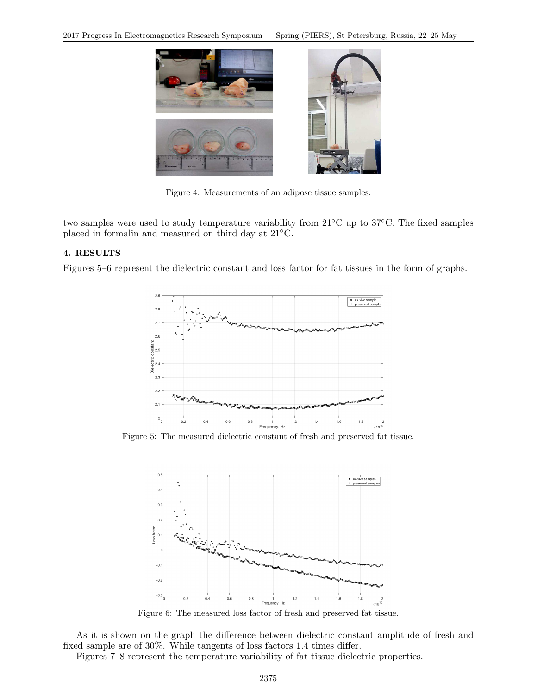

Figure 4: Measurements of an adipose tissue samples.

two samples were used to study temperature variability from 21◦C up to 37◦C. The fixed samples placed in formalin and measured on third day at 21◦C.

## **4. RESULTS**

Figures 5–6 represent the dielectric constant and loss factor for fat tissues in the form of graphs.



Figure 5: The measured dielectric constant of fresh and preserved fat tissue.



Figure 6: The measured loss factor of fresh and preserved fat tissue.

As it is shown on the graph the difference between dielectric constant amplitude of fresh and fixed sample are of 30%. While tangents of loss factors 1.4 times differ.

Figures 7–8 represent the temperature variability of fat tissue dielectric properties.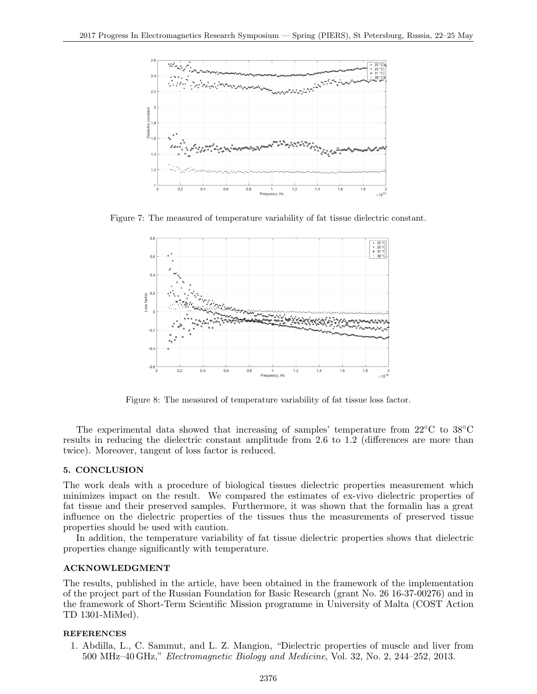

Figure 7: The measured of temperature variability of fat tissue dielectric constant.



Figure 8: The measured of temperature variability of fat tissue loss factor.

The experimental data showed that increasing of samples' temperature from 22◦C to 38◦C results in reducing the dielectric constant amplitude from 2.6 to 1.2 (differences are more than twice). Moreover, tangent of loss factor is reduced.

#### **5. CONCLUSION**

The work deals with a procedure of biological tissues dielectric properties measurement which minimizes impact on the result. We compared the estimates of ex-vivo dielectric properties of fat tissue and their preserved samples. Furthermore, it was shown that the formalin has a great influence on the dielectric properties of the tissues thus the measurements of preserved tissue properties should be used with caution.

In addition, the temperature variability of fat tissue dielectric properties shows that dielectric properties change significantly with temperature.

## **ACKNOWLEDGMENT**

The results, published in the article, have been obtained in the framework of the implementation of the project part of the Russian Foundation for Basic Research (grant No. 26 16-37-00276) and in the framework of Short-Term Scientific Mission programme in University of Malta (COST Action TD 1301-MiMed).

#### **REFERENCES**

1. Abdilla, L., C. Sammut, and L. Z. Mangion, "Dielectric properties of muscle and liver from 500 MHz–40 GHz," *Electromagnetic Biology and Medicine*, Vol. 32, No. 2, 244–252, 2013.